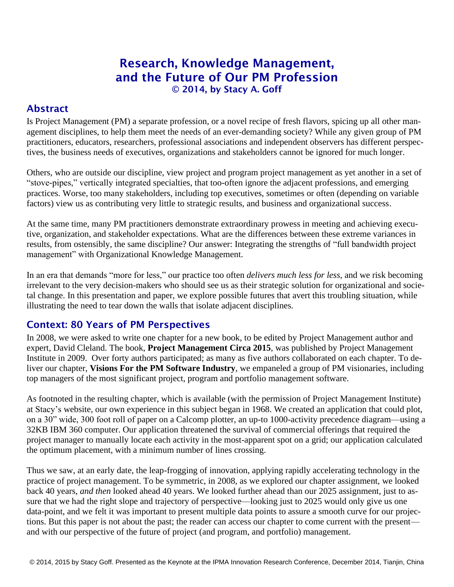# Research, Knowledge Management, and the Future of Our PM Profession © 2014, by Stacy A. Goff

### Abstract

Is Project Management (PM) a separate profession, or a novel recipe of fresh flavors, spicing up all other management disciplines, to help them meet the needs of an ever-demanding society? While any given group of PM practitioners, educators, researchers, professional associations and independent observers has different perspectives, the business needs of executives, organizations and stakeholders cannot be ignored for much longer.

Others, who are outside our discipline, view project and program project management as yet another in a set of "stove-pipes," vertically integrated specialties, that too-often ignore the adjacent professions, and emerging practices. Worse, too many stakeholders, including top executives, sometimes or often (depending on variable factors) view us as contributing very little to strategic results, and business and organizational success.

At the same time, many PM practitioners demonstrate extraordinary prowess in meeting and achieving executive, organization, and stakeholder expectations. What are the differences between these extreme variances in results, from ostensibly, the same discipline? Our answer: Integrating the strengths of "full bandwidth project management" with Organizational Knowledge Management.

In an era that demands "more for less," our practice too often *delivers much less for less*, and we risk becoming irrelevant to the very decision-makers who should see us as their strategic solution for organizational and societal change. In this presentation and paper, we explore possible futures that avert this troubling situation, while illustrating the need to tear down the walls that isolate adjacent disciplines.

### Context: 80 Years of PM Perspectives

In 2008, we were asked to write one chapter for a new book, to be edited by Project Management author and expert, David Cleland. The book, **Project Management Circa 2015**, was published by Project Management Institute in 2009. Over forty authors participated; as many as five authors collaborated on each chapter. To deliver our chapter, **Visions For the PM Software Industry**, we empaneled a group of PM visionaries, including top managers of the most significant project, program and portfolio management software.

As footnoted in the resulting chapter, which is available (with the permission of Project Management Institute) at Stacy's website, our own experience in this subject began in 1968. We created an application that could plot, on a 30" wide, 300 foot roll of paper on a Calcomp plotter, an up-to 1000-activity precedence diagram—using a 32KB IBM 360 computer. Our application threatened the survival of commercial offerings that required the project manager to manually locate each activity in the most-apparent spot on a grid; our application calculated the optimum placement, with a minimum number of lines crossing.

Thus we saw, at an early date, the leap-frogging of innovation, applying rapidly accelerating technology in the practice of project management. To be symmetric, in 2008, as we explored our chapter assignment, we looked back 40 years, *and then* looked ahead 40 years. We looked further ahead than our 2025 assignment, just to assure that we had the right slope and trajectory of perspective—looking just to 2025 would only give us one data-point, and we felt it was important to present multiple data points to assure a smooth curve for our projections. But this paper is not about the past; the reader can access our chapter to come current with the present and with our perspective of the future of project (and program, and portfolio) management.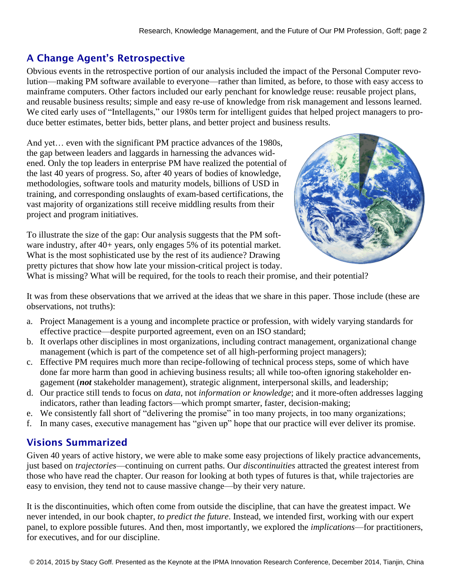# A Change Agent's Retrospective

Obvious events in the retrospective portion of our analysis included the impact of the Personal Computer revolution—making PM software available to everyone—rather than limited, as before, to those with easy access to mainframe computers. Other factors included our early penchant for knowledge reuse: reusable project plans, and reusable business results; simple and easy re-use of knowledge from risk management and lessons learned. We cited early uses of "Intellagents," our 1980s term for intelligent guides that helped project managers to produce better estimates, better bids, better plans, and better project and business results.

And yet… even with the significant PM practice advances of the 1980s, the gap between leaders and laggards in harnessing the advances widened. Only the top leaders in enterprise PM have realized the potential of the last 40 years of progress. So, after 40 years of bodies of knowledge, methodologies, software tools and maturity models, billions of USD in training, and corresponding onslaughts of exam-based certifications, the vast majority of organizations still receive middling results from their project and program initiatives.

To illustrate the size of the gap: Our analysis suggests that the PM software industry, after 40+ years, only engages 5% of its potential market. What is the most sophisticated use by the rest of its audience? Drawing pretty pictures that show how late your mission-critical project is today.



What is missing? What will be required, for the tools to reach their promise, and their potential?

It was from these observations that we arrived at the ideas that we share in this paper. Those include (these are observations, not truths):

- a. Project Management is a young and incomplete practice or profession, with widely varying standards for effective practice—despite purported agreement, even on an ISO standard;
- b. It overlaps other disciplines in most organizations, including contract management, organizational change management (which is part of the competence set of all high-performing project managers);
- c. Effective PM requires much more than recipe-following of technical process steps, some of which have done far more harm than good in achieving business results; all while too-often ignoring stakeholder engagement (*not* stakeholder management), strategic alignment, interpersonal skills, and leadership;
- d. Our practice still tends to focus on *data*, not *information or knowledge*; and it more-often addresses lagging indicators, rather than leading factors—which prompt smarter, faster, decision-making;
- e. We consistently fall short of "delivering the promise" in too many projects, in too many organizations;
- f. In many cases, executive management has "given up" hope that our practice will ever deliver its promise.

# Visions Summarized

Given 40 years of active history, we were able to make some easy projections of likely practice advancements, just based on *trajectories*—continuing on current paths. Our *discontinuities* attracted the greatest interest from those who have read the chapter. Our reason for looking at both types of futures is that, while trajectories are easy to envision, they tend not to cause massive change—by their very nature.

It is the discontinuities, which often come from outside the discipline, that can have the greatest impact. We never intended, in our book chapter, *to predict the future*. Instead, we intended first, working with our expert panel, to explore possible futures. And then, most importantly, we explored the *implications*—for practitioners, for executives, and for our discipline.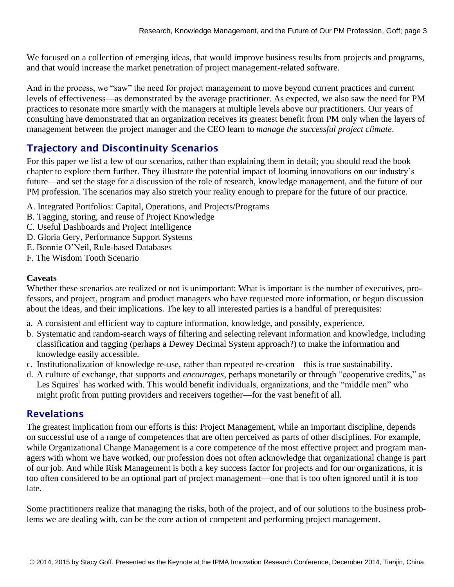We focused on a collection of emerging ideas, that would improve business results from projects and programs, and that would increase the market penetration of project management-related software.

And in the process, we "saw" the need for project management to move beyond current practices and current levels of effectiveness—as demonstrated by the average practitioner. As expected, we also saw the need for PM practices to resonate more smartly with the managers at multiple levels above our practitioners. Our years of consulting have demonstrated that an organization receives its greatest benefit from PM only when the layers of management between the project manager and the CEO learn to *manage the successful project climate*.

# Trajectory and Discontinuity Scenarios

For this paper we list a few of our scenarios, rather than explaining them in detail; you should read the book chapter to explore them further. They illustrate the potential impact of looming innovations on our industry's future—and set the stage for a discussion of the role of research, knowledge management, and the future of our PM profession. The scenarios may also stretch your reality enough to prepare for the future of our practice.

- A. Integrated Portfolios: Capital, Operations, and Projects/Programs
- B. Tagging, storing, and reuse of Project Knowledge
- C. Useful Dashboards and Project Intelligence
- D. Gloria Gery, Performance Support Systems
- E. Bonnie O'Neil, Rule-based Databases
- F. The Wisdom Tooth Scenario

#### **Caveats**

Whether these scenarios are realized or not is unimportant: What is important is the number of executives, professors, and project, program and product managers who have requested more information, or begun discussion about the ideas, and their implications. The key to all interested parties is a handful of prerequisites:

- a. A consistent and efficient way to capture information, knowledge, and possibly, experience.
- b. Systematic and random-search ways of filtering and selecting relevant information and knowledge, including classification and tagging (perhaps a Dewey Decimal System approach?) to make the information and knowledge easily accessible.
- c. Institutionalization of knowledge re-use, rather than repeated re-creation—this is true sustainability.
- d. A culture of exchange, that supports and *encourages*, perhaps monetarily or through "cooperative credits," as Les Squires<sup>1</sup> has worked with. This would benefit individuals, organizations, and the "middle men" who might profit from putting providers and receivers together—for the vast benefit of all.

### **Revelations**

The greatest implication from our efforts is this: Project Management, while an important discipline, depends on successful use of a range of competences that are often perceived as parts of other disciplines. For example, while Organizational Change Management is a core competence of the most effective project and program managers with whom we have worked, our profession does not often acknowledge that organizational change is part of our job. And while Risk Management is both a key success factor for projects and for our organizations, it is too often considered to be an optional part of project management—one that is too often ignored until it is too late.

Some practitioners realize that managing the risks, both of the project, and of our solutions to the business problems we are dealing with, can be the core action of competent and performing project management.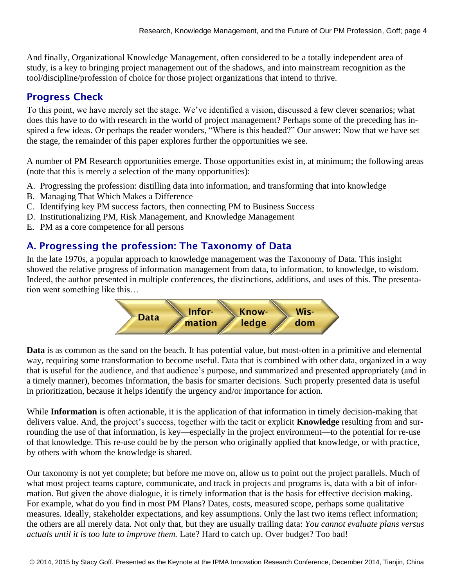And finally, Organizational Knowledge Management, often considered to be a totally independent area of study, is a key to bringing project management out of the shadows, and into mainstream recognition as the tool/discipline/profession of choice for those project organizations that intend to thrive.

# Progress Check

To this point, we have merely set the stage. We've identified a vision, discussed a few clever scenarios; what does this have to do with research in the world of project management? Perhaps some of the preceding has inspired a few ideas. Or perhaps the reader wonders, "Where is this headed?" Our answer: Now that we have set the stage, the remainder of this paper explores further the opportunities we see.

A number of PM Research opportunities emerge. Those opportunities exist in, at minimum; the following areas (note that this is merely a selection of the many opportunities):

- A. Progressing the profession: distilling data into information, and transforming that into knowledge
- B. Managing That Which Makes a Difference
- C. Identifying key PM success factors, then connecting PM to Business Success
- D. Institutionalizing PM, Risk Management, and Knowledge Management
- E. PM as a core competence for all persons

# A. Progressing the profession: The Taxonomy of Data

In the late 1970s, a popular approach to knowledge management was the Taxonomy of Data. This insight showed the relative progress of information management from data, to information, to knowledge, to wisdom. Indeed, the author presented in multiple conferences, the distinctions, additions, and uses of this. The presentation went something like this…



**Data** is as common as the sand on the beach. It has potential value, but most-often in a primitive and elemental way, requiring some transformation to become useful. Data that is combined with other data, organized in a way that is useful for the audience, and that audience's purpose, and summarized and presented appropriately (and in a timely manner), becomes Information, the basis for smarter decisions. Such properly presented data is useful in prioritization, because it helps identify the urgency and/or importance for action.

While **Information** is often actionable, it is the application of that information in timely decision-making that delivers value. And, the project's success, together with the tacit or explicit **Knowledge** resulting from and surrounding the use of that information, is key—especially in the project environment—to the potential for re-use of that knowledge. This re-use could be by the person who originally applied that knowledge, or with practice, by others with whom the knowledge is shared.

Our taxonomy is not yet complete; but before me move on, allow us to point out the project parallels. Much of what most project teams capture, communicate, and track in projects and programs is, data with a bit of information. But given the above dialogue, it is timely information that is the basis for effective decision making. For example, what do you find in most PM Plans? Dates, costs, measured scope, perhaps some qualitative measures. Ideally, stakeholder expectations, and key assumptions. Only the last two items reflect information; the others are all merely data. Not only that, but they are usually trailing data: *You cannot evaluate plans versus actuals until it is too late to improve them.* Late? Hard to catch up. Over budget? Too bad!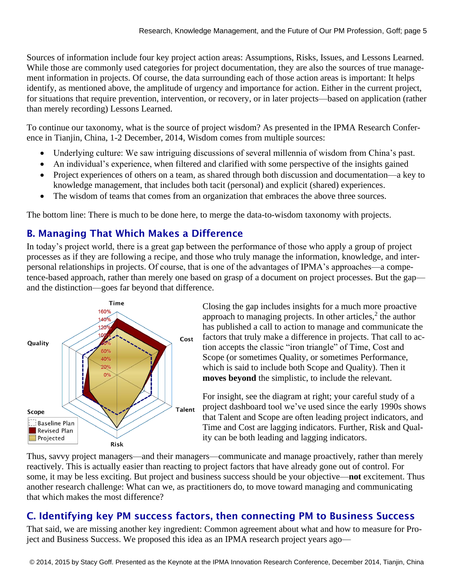Sources of information include four key project action areas: Assumptions, Risks, Issues, and Lessons Learned. While those are commonly used categories for project documentation, they are also the sources of true management information in projects. Of course, the data surrounding each of those action areas is important: It helps identify, as mentioned above, the amplitude of urgency and importance for action. Either in the current project, for situations that require prevention, intervention, or recovery, or in later projects—based on application (rather than merely recording) Lessons Learned.

To continue our taxonomy, what is the source of project wisdom? As presented in the IPMA Research Conference in Tianjin, China, 1-2 December, 2014, Wisdom comes from multiple sources:

- Underlying culture: We saw intriguing discussions of several millennia of wisdom from China's past.
- An individual's experience, when filtered and clarified with some perspective of the insights gained
- Project experiences of others on a team, as shared through both discussion and documentation—a key to knowledge management, that includes both tacit (personal) and explicit (shared) experiences.
- The wisdom of teams that comes from an organization that embraces the above three sources.

The bottom line: There is much to be done here, to merge the data-to-wisdom taxonomy with projects.

# B. Managing That Which Makes a Difference

In today's project world, there is a great gap between the performance of those who apply a group of project processes as if they are following a recipe, and those who truly manage the information, knowledge, and interpersonal relationships in projects. Of course, that is one of the advantages of IPMA's approaches—a competence-based approach, rather than merely one based on grasp of a document on project processes. But the gap and the distinction—goes far beyond that difference.



Closing the gap includes insights for a much more proactive approach to managing projects. In other articles, $<sup>2</sup>$  the author</sup> has published a call to action to manage and communicate the factors that truly make a difference in projects. That call to action accepts the classic "iron triangle" of Time, Cost and Scope (or sometimes Quality, or sometimes Performance, which is said to include both Scope and Quality). Then it **moves beyond** the simplistic, to include the relevant.

For insight, see the diagram at right; your careful study of a project dashboard tool we've used since the early 1990s shows that Talent and Scope are often leading project indicators, and Time and Cost are lagging indicators. Further, Risk and Quality can be both leading and lagging indicators.

Thus, savvy project managers—and their managers—communicate and manage proactively, rather than merely reactively. This is actually easier than reacting to project factors that have already gone out of control. For some, it may be less exciting. But project and business success should be your objective—**not** excitement. Thus another research challenge: What can we, as practitioners do, to move toward managing and communicating that which makes the most difference?

# C. Identifying key PM success factors, then connecting PM to Business Success

That said, we are missing another key ingredient: Common agreement about what and how to measure for Project and Business Success. We proposed this idea as an IPMA research project years ago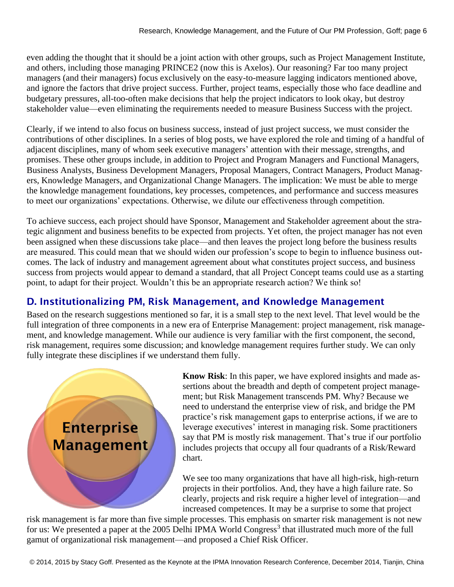even adding the thought that it should be a joint action with other groups, such as Project Management Institute, and others, including those managing PRINCE2 (now this is Axelos). Our reasoning? Far too many project managers (and their managers) focus exclusively on the easy-to-measure lagging indicators mentioned above, and ignore the factors that drive project success. Further, project teams, especially those who face deadline and budgetary pressures, all-too-often make decisions that help the project indicators to look okay, but destroy stakeholder value—even eliminating the requirements needed to measure Business Success with the project.

Clearly, if we intend to also focus on business success, instead of just project success, we must consider the contributions of other disciplines. In a series of blog posts, we have explored the role and timing of a handful of adjacent disciplines, many of whom seek executive managers' attention with their message, strengths, and promises. These other groups include, in addition to Project and Program Managers and Functional Managers, Business Analysts, Business Development Managers, Proposal Managers, Contract Managers, Product Managers, Knowledge Managers, and Organizational Change Managers. The implication: We must be able to merge the knowledge management foundations, key processes, competences, and performance and success measures to meet our organizations' expectations. Otherwise, we dilute our effectiveness through competition.

To achieve success, each project should have Sponsor, Management and Stakeholder agreement about the strategic alignment and business benefits to be expected from projects. Yet often, the project manager has not even been assigned when these discussions take place—and then leaves the project long before the business results are measured. This could mean that we should widen our profession's scope to begin to influence business outcomes. The lack of industry and management agreement about what constitutes project success, and business success from projects would appear to demand a standard, that all Project Concept teams could use as a starting point, to adapt for their project. Wouldn't this be an appropriate research action? We think so!

### D. Institutionalizing PM, Risk Management, and Knowledge Management

Based on the research suggestions mentioned so far, it is a small step to the next level. That level would be the full integration of three components in a new era of Enterprise Management: project management, risk management, and knowledge management. While our audience is very familiar with the first component, the second, risk management, requires some discussion; and knowledge management requires further study. We can only fully integrate these disciplines if we understand them fully.



**Know Risk**: In this paper, we have explored insights and made assertions about the breadth and depth of competent project management; but Risk Management transcends PM. Why? Because we need to understand the enterprise view of risk, and bridge the PM practice's risk management gaps to enterprise actions, if we are to leverage executives' interest in managing risk. Some practitioners say that PM is mostly risk management. That's true if our portfolio includes projects that occupy all four quadrants of a Risk/Reward chart.

We see too many organizations that have all high-risk, high-return projects in their portfolios. And, they have a high failure rate. So clearly, projects and risk require a higher level of integration—and increased competences. It may be a surprise to some that project

risk management is far more than five simple processes. This emphasis on smarter risk management is not new for us: We presented a paper at the 2005 Delhi IPMA World Congress<sup>3</sup> that illustrated much more of the full gamut of organizational risk management—and proposed a Chief Risk Officer.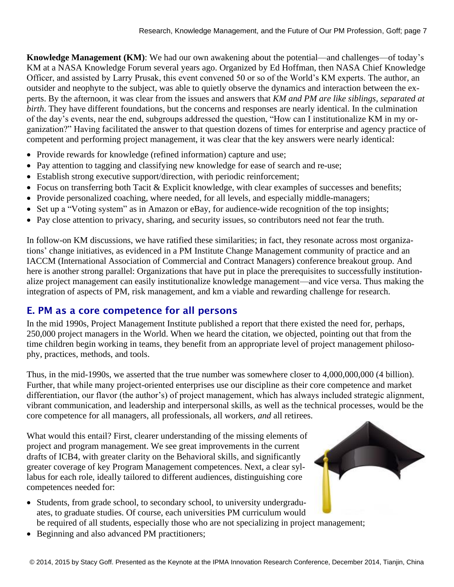**Knowledge Management (KM):** We had our own awakening about the potential—and challenges—of today's KM at a NASA Knowledge Forum several years ago. Organized by Ed Hoffman, then NASA Chief Knowledge Officer, and assisted by Larry Prusak, this event convened 50 or so of the World's KM experts. The author, an outsider and neophyte to the subject, was able to quietly observe the dynamics and interaction between the experts. By the afternoon, it was clear from the issues and answers that *KM and PM are like siblings, separated at birth*. They have different foundations, but the concerns and responses are nearly identical. In the culmination of the day's events, near the end, subgroups addressed the question, "How can I institutionalize KM in my organization?" Having facilitated the answer to that question dozens of times for enterprise and agency practice of competent and performing project management, it was clear that the key answers were nearly identical:

- Provide rewards for knowledge (refined information) capture and use;
- Pay attention to tagging and classifying new knowledge for ease of search and re-use;
- Establish strong executive support/direction, with periodic reinforcement;
- Focus on transferring both Tacit & Explicit knowledge, with clear examples of successes and benefits;
- Provide personalized coaching, where needed, for all levels, and especially middle-managers;
- Set up a "Voting system" as in Amazon or eBay, for audience-wide recognition of the top insights;
- Pay close attention to privacy, sharing, and security issues, so contributors need not fear the truth.

In follow-on KM discussions, we have ratified these similarities; in fact, they resonate across most organizations' change initiatives, as evidenced in a PM Institute Change Management community of practice and an IACCM (International Association of Commercial and Contract Managers) conference breakout group. And here is another strong parallel: Organizations that have put in place the prerequisites to successfully institutionalize project management can easily institutionalize knowledge management—and vice versa. Thus making the integration of aspects of PM, risk management, and km a viable and rewarding challenge for research.

### E. PM as a core competence for all persons

In the mid 1990s, Project Management Institute published a report that there existed the need for, perhaps, 250,000 project managers in the World. When we heard the citation, we objected, pointing out that from the time children begin working in teams, they benefit from an appropriate level of project management philosophy, practices, methods, and tools.

Thus, in the mid-1990s, we asserted that the true number was somewhere closer to 4,000,000,000 (4 billion). Further, that while many project-oriented enterprises use our discipline as their core competence and market differentiation, our flavor (the author's) of project management, which has always included strategic alignment, vibrant communication, and leadership and interpersonal skills, as well as the technical processes, would be the core competence for all managers, all professionals, all workers, *and* all retirees.

What would this entail? First, clearer understanding of the missing elements of project and program management. We see great improvements in the current drafts of ICB4, with greater clarity on the Behavioral skills, and significantly greater coverage of key Program Management competences. Next, a clear syllabus for each role, ideally tailored to different audiences, distinguishing core competences needed for:

- Students, from grade school, to secondary school, to university undergraduates, to graduate studies. Of course, each universities PM curriculum would be required of all students, especially those who are not specializing in project management;
- Beginning and also advanced PM practitioners;

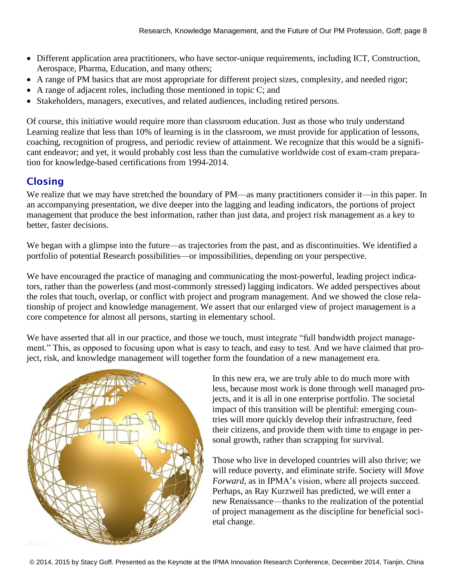- Different application area practitioners, who have sector-unique requirements, including ICT, Construction, Aerospace, Pharma, Education, and many others;
- A range of PM basics that are most appropriate for different project sizes, complexity, and needed rigor;
- A range of adjacent roles, including those mentioned in topic C; and
- Stakeholders, managers, executives, and related audiences, including retired persons.

Of course, this initiative would require more than classroom education. Just as those who truly understand Learning realize that less than 10% of learning is in the classroom, we must provide for application of lessons, coaching, recognition of progress, and periodic review of attainment. We recognize that this would be a significant endeavor; and yet, it would probably cost less than the cumulative worldwide cost of exam-cram preparation for knowledge-based certifications from 1994-2014.

# Closing

We realize that we may have stretched the boundary of PM—as many practitioners consider it—in this paper. In an accompanying presentation, we dive deeper into the lagging and leading indicators, the portions of project management that produce the best information, rather than just data, and project risk management as a key to better, faster decisions.

We began with a glimpse into the future—as trajectories from the past, and as discontinuities. We identified a portfolio of potential Research possibilities—or impossibilities, depending on your perspective.

We have encouraged the practice of managing and communicating the most-powerful, leading project indicators, rather than the powerless (and most-commonly stressed) lagging indicators. We added perspectives about the roles that touch, overlap, or conflict with project and program management. And we showed the close relationship of project and knowledge management. We assert that our enlarged view of project management is a core competence for almost all persons, starting in elementary school.

We have asserted that all in our practice, and those we touch, must integrate "full bandwidth project management." This, as opposed to focusing upon what is easy to teach, and easy to test. And we have claimed that project, risk, and knowledge management will together form the foundation of a new management era.



In this new era, we are truly able to do much more with less, because most work is done through well managed projects, and it is all in one enterprise portfolio. The societal impact of this transition will be plentiful: emerging countries will more quickly develop their infrastructure, feed their citizens, and provide them with time to engage in personal growth, rather than scrapping for survival.

Those who live in developed countries will also thrive; we will reduce poverty, and eliminate strife. Society will *Move Forward*, as in IPMA's vision, where all projects succeed. Perhaps, as Ray Kurzweil has predicted, we will enter a new Renaissance—thanks to the realization of the potential of project management as the discipline for beneficial societal change.